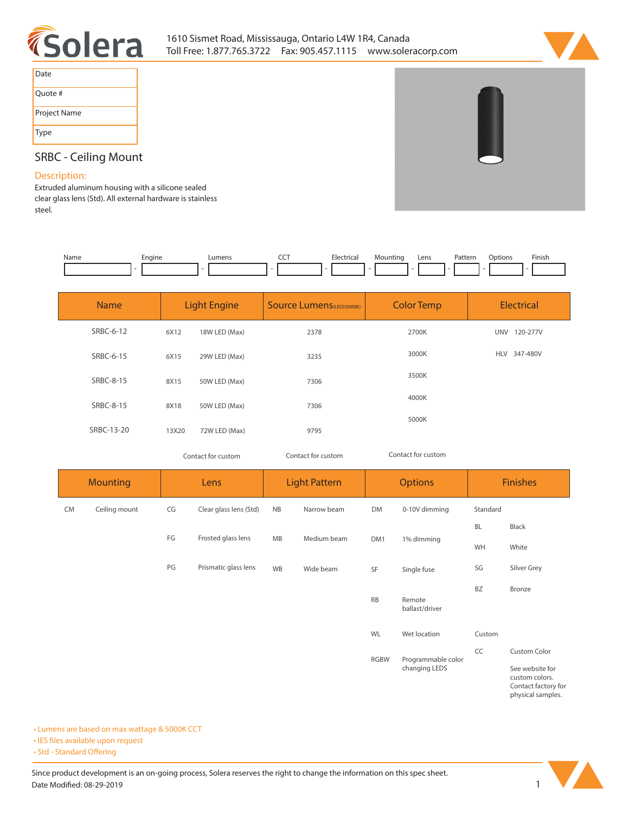



| Date         |  |
|--------------|--|
| Quote #      |  |
| Project Name |  |
| Type         |  |

## **SRBC - Ceiling Mount**

## **Description:**

**Extruded aluminum housing with a silicone sealed clear glass lens (Std). All external hardware is stainless steel.** 

| Name | cngine<br>- | umen. | --- | $L$ loctvict<br>rical<br>. | `วนntina | Lens | Pattern.<br>. | ption:<br>١n<br>. | Finish<br>the contract of the contract of the |
|------|-------------|-------|-----|----------------------------|----------|------|---------------|-------------------|-----------------------------------------------|
|      |             |       |     |                            |          |      |               |                   |                                               |

| <b>Name</b> |       | <b>Light Engine</b> | <b>Source Lumens</b> (LED)(5000K) | <b>Color Temp</b> | Electrical             |
|-------------|-------|---------------------|-----------------------------------|-------------------|------------------------|
| SRBC-6-12   | 6X12  | 18W LED (Max)       | 2378                              | 2700K             | UNV<br>120-277V        |
| SRBC-6-15   | 6X15  | 29W LED (Max)       | 3235                              | 3000K             | <b>HLV</b><br>347-480V |
| SRBC-8-15   | 8X15  | 50W LED (Max)       | 7306                              | 3500K             |                        |
| SRBC-8-15   | 8X18  | 50W LED (Max)       | 7306                              | 4000K             |                        |
| SRBC-13-20  | 13X20 | 72W LED (Max)       | 9795                              | 5000K             |                        |

*Contact for custom Contact for custom*

*Contact for custom*

|           | <b>Mounting</b> |    | Lens                   |           | <b>Light Pattern</b> |             | <b>Options</b>           |           | <b>Finishes</b>                                                               |
|-----------|-----------------|----|------------------------|-----------|----------------------|-------------|--------------------------|-----------|-------------------------------------------------------------------------------|
| <b>CM</b> | Ceiling mount   | CG | Clear glass lens (Std) | <b>NB</b> | Narrow beam          | <b>DM</b>   | 0-10V dimming            | Standard  |                                                                               |
|           |                 | FG | Frosted glass lens     | MB        | Medium beam          |             |                          | <b>BL</b> | Black                                                                         |
|           |                 |    |                        |           |                      | DM1         | 1% dimming               | WH        | White                                                                         |
|           |                 | PG | Prismatic glass lens   | WB        | Wide beam            | SF          | Single fuse              | SG        | Silver Grey                                                                   |
|           |                 |    |                        |           |                      | <b>RB</b>   | Remote<br>ballast/driver | <b>BZ</b> | Bronze                                                                        |
|           |                 |    |                        |           |                      | WL          | Wet location             | Custom    |                                                                               |
|           |                 |    |                        |           |                      | <b>RGBW</b> | Programmable color       | CC        | Custom Color                                                                  |
|           |                 |    |                        |           |                      |             | changing LEDS            |           | See website for<br>custom colors.<br>Contact factory for<br>physical samples. |

**• Lumens are based on max wattage & 5000K CCT**

**• IES files available upon request** 

• Std - Standard Offering